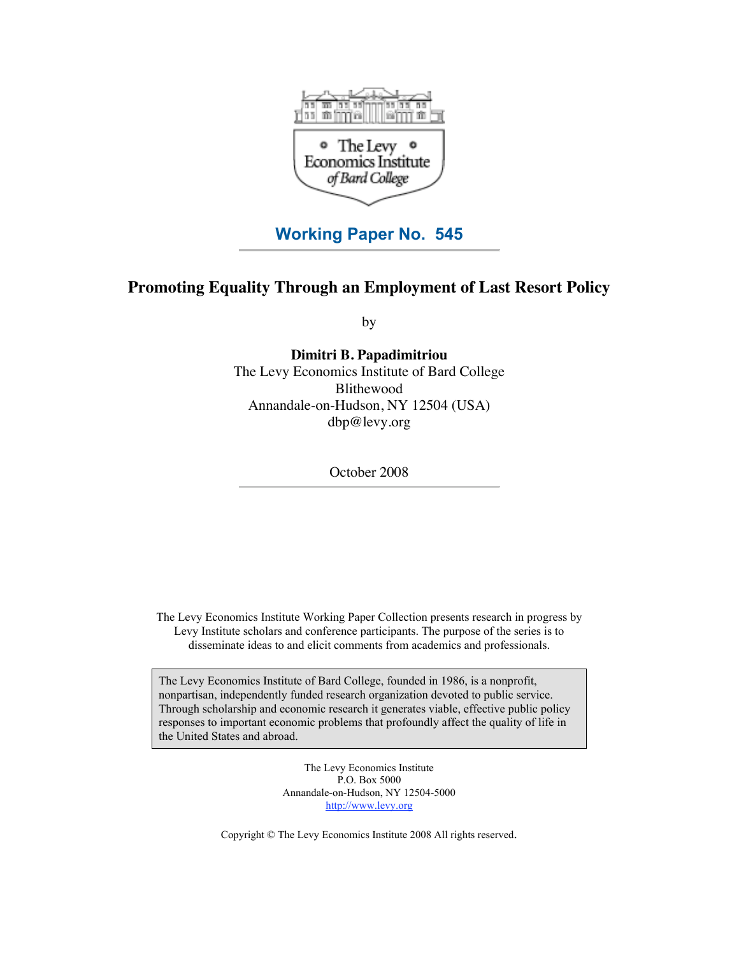

# **Working Paper No. 545**

## **Promoting Equality Through an Employment of Last Resort Policy**

by

**Dimitri B. Papadimitriou** The Levy Economics Institute of Bard College Blithewood Annandale-on-Hudson, NY 12504 (USA) [dbp@levy.org](mailto:dbp@levy.org)

October 2008

The Levy Economics Institute Working Paper Collection presents research in progress by Levy Institute scholars and conference participants. The purpose of the series is to disseminate ideas to and elicit comments from academics and professionals.

The Levy Economics Institute of Bard College, founded in 1986, is a nonprofit, nonpartisan, independently funded research organization devoted to public service. Through scholarship and economic research it generates viable, effective public policy responses to important economic problems that profoundly affect the quality of life in the United States and abroad.

> The Levy Economics Institute P.O. Box 5000 Annandale-on-Hudson, NY 12504-5000 <http://www.levy.org>

Copyright © The Levy Economics Institute 2008 All rights reserved.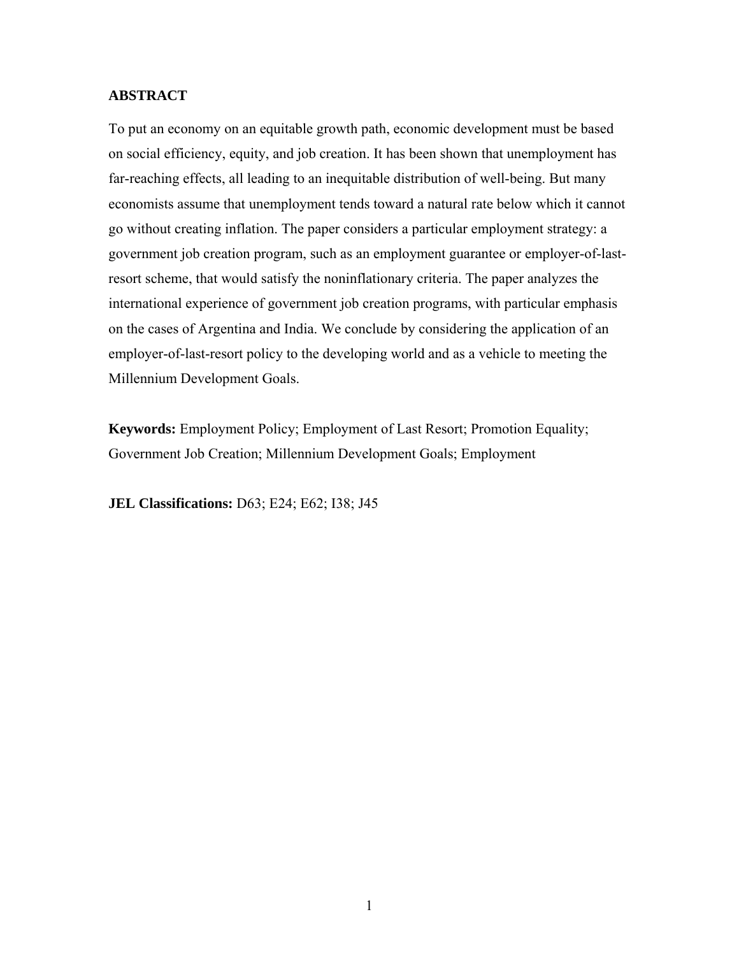## **ABSTRACT**

To put an economy on an equitable growth path, economic development must be based on social efficiency, equity, and job creation. It has been shown that unemployment has far-reaching effects, all leading to an inequitable distribution of well-being. But many economists assume that unemployment tends toward a natural rate below which it cannot go without creating inflation. The paper considers a particular employment strategy: a government job creation program, such as an employment guarantee or employer-of-lastresort scheme, that would satisfy the noninflationary criteria. The paper analyzes the international experience of government job creation programs, with particular emphasis on the cases of Argentina and India. We conclude by considering the application of an employer-of-last-resort policy to the developing world and as a vehicle to meeting the Millennium Development Goals.

**Keywords:** Employment Policy; Employment of Last Resort; Promotion Equality; Government Job Creation; Millennium Development Goals; Employment

**JEL Classifications:** D63; E24; E62; I38; J45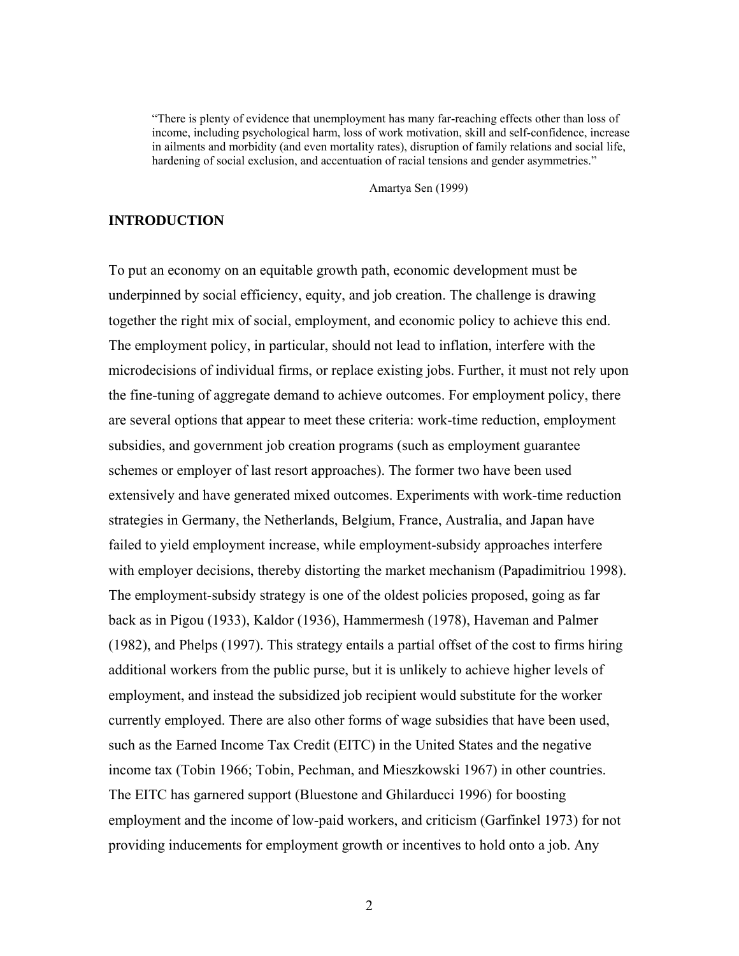"There is plenty of evidence that unemployment has many far-reaching effects other than loss of income, including psychological harm, loss of work motivation, skill and self-confidence, increase in ailments and morbidity (and even mortality rates), disruption of family relations and social life, hardening of social exclusion, and accentuation of racial tensions and gender asymmetries."

Amartya Sen (1999)

## **INTRODUCTION**

To put an economy on an equitable growth path, economic development must be underpinned by social efficiency, equity, and job creation. The challenge is drawing together the right mix of social, employment, and economic policy to achieve this end. The employment policy, in particular, should not lead to inflation, interfere with the microdecisions of individual firms, or replace existing jobs. Further, it must not rely upon the fine-tuning of aggregate demand to achieve outcomes. For employment policy, there are several options that appear to meet these criteria: work-time reduction, employment subsidies, and government job creation programs (such as employment guarantee schemes or employer of last resort approaches). The former two have been used extensively and have generated mixed outcomes. Experiments with work-time reduction strategies in Germany, the Netherlands, Belgium, France, Australia, and Japan have failed to yield employment increase, while employment-subsidy approaches interfere with employer decisions, thereby distorting the market mechanism (Papadimitriou 1998). The employment-subsidy strategy is one of the oldest policies proposed, going as far back as in Pigou (1933), Kaldor (1936), Hammermesh (1978), Haveman and Palmer (1982), and Phelps (1997). This strategy entails a partial offset of the cost to firms hiring additional workers from the public purse, but it is unlikely to achieve higher levels of employment, and instead the subsidized job recipient would substitute for the worker currently employed. There are also other forms of wage subsidies that have been used, such as the Earned Income Tax Credit (EITC) in the United States and the negative income tax (Tobin 1966; Tobin, Pechman, and Mieszkowski 1967) in other countries. The EITC has garnered support (Bluestone and Ghilarducci 1996) for boosting employment and the income of low-paid workers, and criticism (Garfinkel 1973) for not providing inducements for employment growth or incentives to hold onto a job. Any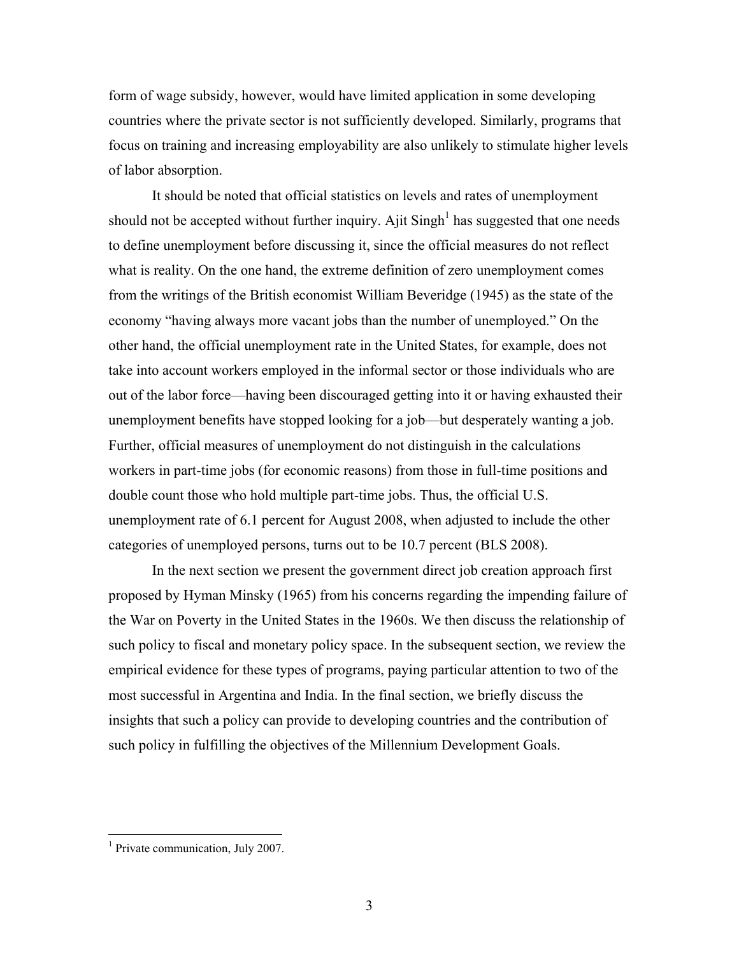form of wage subsidy, however, would have limited application in some developing countries where the private sector is not sufficiently developed. Similarly, programs that focus on training and increasing employability are also unlikely to stimulate higher levels of labor absorption.

 It should be noted that official statistics on levels and rates of unemployment should not be accepted without further inquiry. Ajit Singh<sup>1</sup> has suggested that one needs to define unemployment before discussing it, since the official measures do not reflect what is reality. On the one hand, the extreme definition of zero unemployment comes from the writings of the British economist William Beveridge (1945) as the state of the economy "having always more vacant jobs than the number of unemployed." On the other hand, the official unemployment rate in the United States, for example, does not take into account workers employed in the informal sector or those individuals who are out of the labor force—having been discouraged getting into it or having exhausted their unemployment benefits have stopped looking for a job—but desperately wanting a job. Further, official measures of unemployment do not distinguish in the calculations workers in part-time jobs (for economic reasons) from those in full-time positions and double count those who hold multiple part-time jobs. Thus, the official U.S. unemployment rate of 6.1 percent for August 2008, when adjusted to include the other categories of unemployed persons, turns out to be 10.7 percent (BLS 2008).

 In the next section we present the government direct job creation approach first proposed by Hyman Minsky (1965) from his concerns regarding the impending failure of the War on Poverty in the United States in the 1960s. We then discuss the relationship of such policy to fiscal and monetary policy space. In the subsequent section, we review the empirical evidence for these types of programs, paying particular attention to two of the most successful in Argentina and India. In the final section, we briefly discuss the insights that such a policy can provide to developing countries and the contribution of such policy in fulfilling the objectives of the Millennium Development Goals.

 $\overline{a}$ 

<sup>&</sup>lt;sup>1</sup> Private communication, July 2007.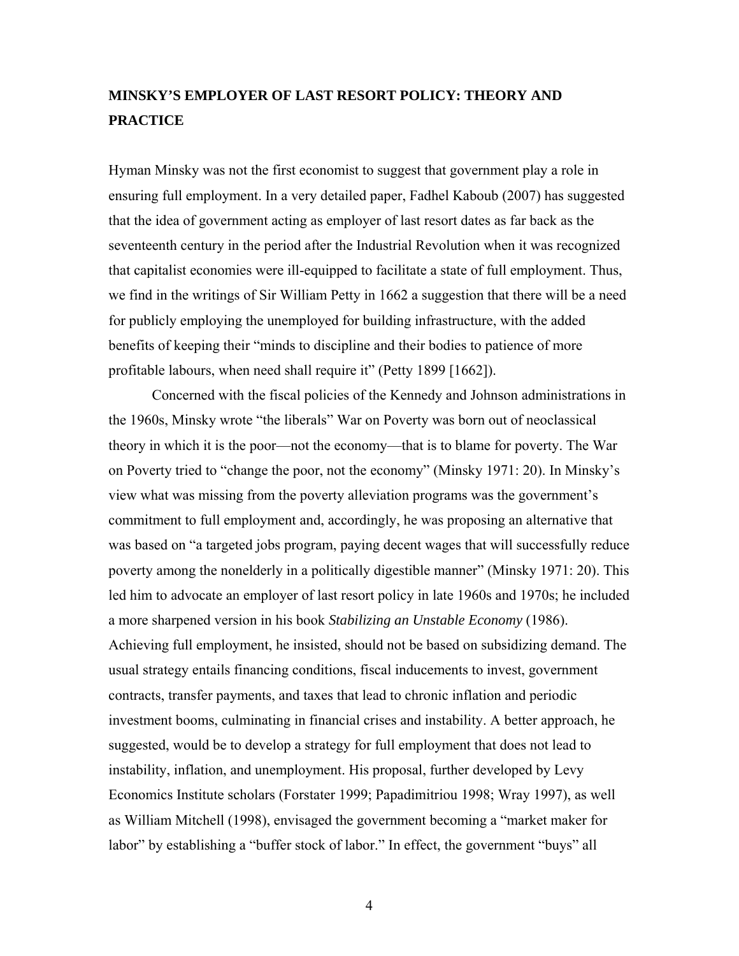# **MINSKY'S EMPLOYER OF LAST RESORT POLICY: THEORY AND PRACTICE**

Hyman Minsky was not the first economist to suggest that government play a role in ensuring full employment. In a very detailed paper, Fadhel Kaboub (2007) has suggested that the idea of government acting as employer of last resort dates as far back as the seventeenth century in the period after the Industrial Revolution when it was recognized that capitalist economies were ill-equipped to facilitate a state of full employment. Thus, we find in the writings of Sir William Petty in 1662 a suggestion that there will be a need for publicly employing the unemployed for building infrastructure, with the added benefits of keeping their "minds to discipline and their bodies to patience of more profitable labours, when need shall require it" (Petty 1899 [1662]).

 Concerned with the fiscal policies of the Kennedy and Johnson administrations in the 1960s, Minsky wrote "the liberals" War on Poverty was born out of neoclassical theory in which it is the poor—not the economy—that is to blame for poverty. The War on Poverty tried to "change the poor, not the economy" (Minsky 1971: 20). In Minsky's view what was missing from the poverty alleviation programs was the government's commitment to full employment and, accordingly, he was proposing an alternative that was based on "a targeted jobs program, paying decent wages that will successfully reduce poverty among the nonelderly in a politically digestible manner" (Minsky 1971: 20). This led him to advocate an employer of last resort policy in late 1960s and 1970s; he included a more sharpened version in his book *Stabilizing an Unstable Economy* (1986). Achieving full employment, he insisted, should not be based on subsidizing demand. The usual strategy entails financing conditions, fiscal inducements to invest, government contracts, transfer payments, and taxes that lead to chronic inflation and periodic investment booms, culminating in financial crises and instability. A better approach, he suggested, would be to develop a strategy for full employment that does not lead to instability, inflation, and unemployment. His proposal, further developed by Levy Economics Institute scholars (Forstater 1999; Papadimitriou 1998; Wray 1997), as well as William Mitchell (1998), envisaged the government becoming a "market maker for labor" by establishing a "buffer stock of labor." In effect, the government "buys" all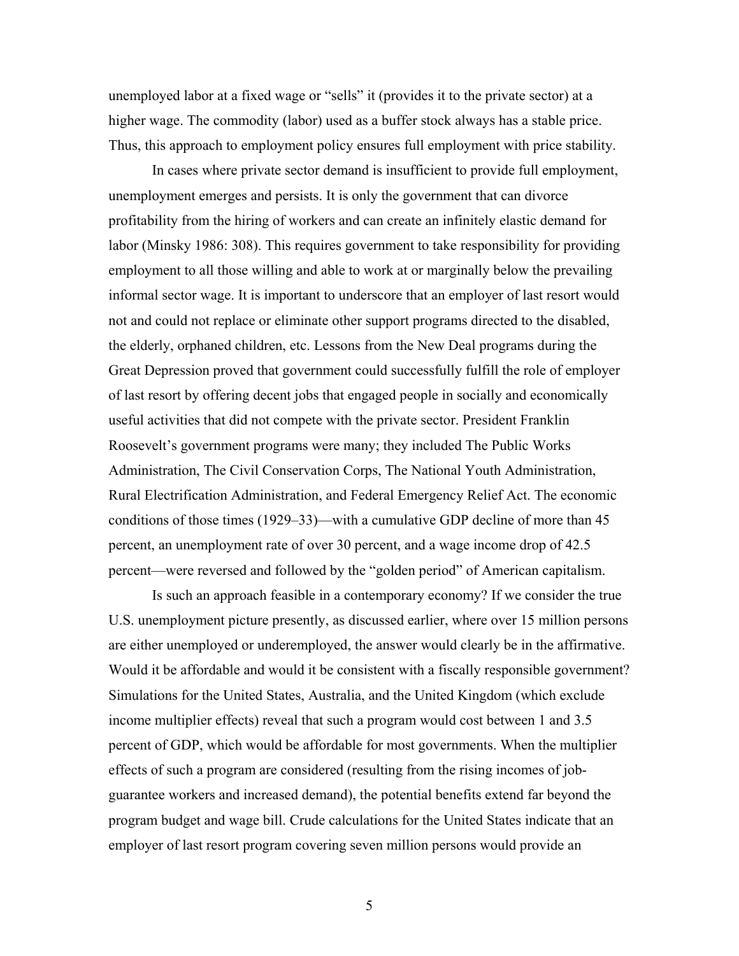unemployed labor at a fixed wage or "sells" it (provides it to the private sector) at a higher wage. The commodity (labor) used as a buffer stock always has a stable price. Thus, this approach to employment policy ensures full employment with price stability.

 In cases where private sector demand is insufficient to provide full employment, unemployment emerges and persists. It is only the government that can divorce profitability from the hiring of workers and can create an infinitely elastic demand for labor (Minsky 1986: 308). This requires government to take responsibility for providing employment to all those willing and able to work at or marginally below the prevailing informal sector wage. It is important to underscore that an employer of last resort would not and could not replace or eliminate other support programs directed to the disabled, the elderly, orphaned children, etc. Lessons from the New Deal programs during the Great Depression proved that government could successfully fulfill the role of employer of last resort by offering decent jobs that engaged people in socially and economically useful activities that did not compete with the private sector. President Franklin Roosevelt's government programs were many; they included The Public Works Administration, The Civil Conservation Corps, The National Youth Administration, Rural Electrification Administration, and Federal Emergency Relief Act. The economic conditions of those times (1929–33)—with a cumulative GDP decline of more than 45 percent, an unemployment rate of over 30 percent, and a wage income drop of 42.5 percent—were reversed and followed by the "golden period" of American capitalism.

 Is such an approach feasible in a contemporary economy? If we consider the true U.S. unemployment picture presently, as discussed earlier, where over 15 million persons are either unemployed or underemployed, the answer would clearly be in the affirmative. Would it be affordable and would it be consistent with a fiscally responsible government? Simulations for the United States, Australia, and the United Kingdom (which exclude income multiplier effects) reveal that such a program would cost between 1 and 3.5 percent of GDP, which would be affordable for most governments. When the multiplier effects of such a program are considered (resulting from the rising incomes of jobguarantee workers and increased demand), the potential benefits extend far beyond the program budget and wage bill. Crude calculations for the United States indicate that an employer of last resort program covering seven million persons would provide an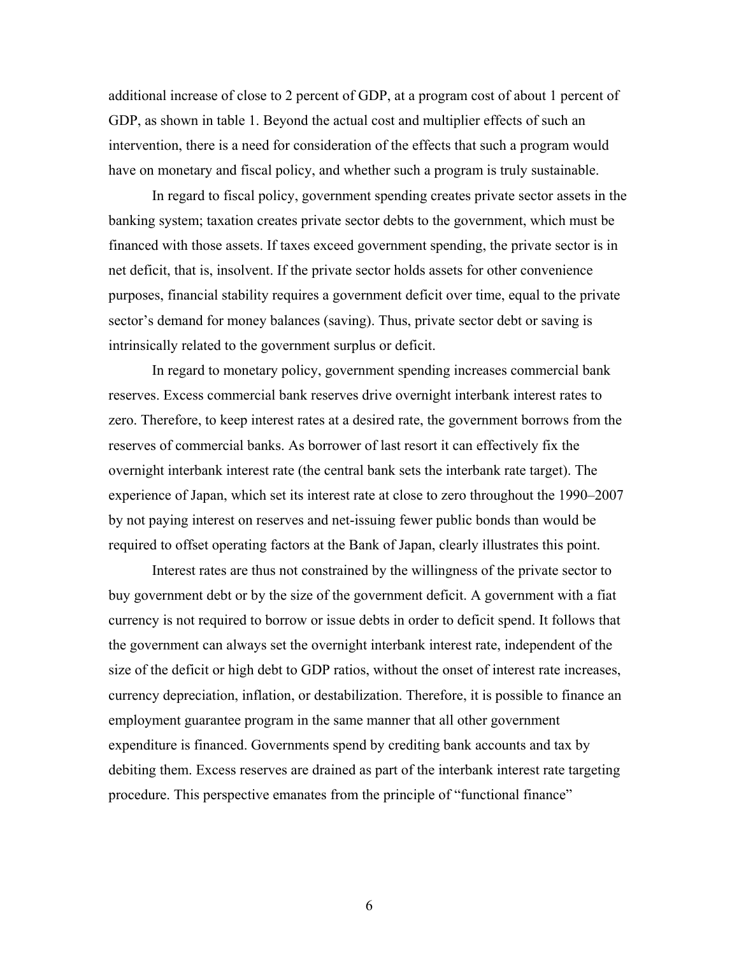additional increase of close to 2 percent of GDP, at a program cost of about 1 percent of GDP, as shown in table 1. Beyond the actual cost and multiplier effects of such an intervention, there is a need for consideration of the effects that such a program would have on monetary and fiscal policy, and whether such a program is truly sustainable.

 In regard to fiscal policy, government spending creates private sector assets in the banking system; taxation creates private sector debts to the government, which must be financed with those assets. If taxes exceed government spending, the private sector is in net deficit, that is, insolvent. If the private sector holds assets for other convenience purposes, financial stability requires a government deficit over time, equal to the private sector's demand for money balances (saving). Thus, private sector debt or saving is intrinsically related to the government surplus or deficit.

 In regard to monetary policy, government spending increases commercial bank reserves. Excess commercial bank reserves drive overnight interbank interest rates to zero. Therefore, to keep interest rates at a desired rate, the government borrows from the reserves of commercial banks. As borrower of last resort it can effectively fix the overnight interbank interest rate (the central bank sets the interbank rate target). The experience of Japan, which set its interest rate at close to zero throughout the 1990–2007 by not paying interest on reserves and net-issuing fewer public bonds than would be required to offset operating factors at the Bank of Japan, clearly illustrates this point.

 Interest rates are thus not constrained by the willingness of the private sector to buy government debt or by the size of the government deficit. A government with a fiat currency is not required to borrow or issue debts in order to deficit spend. It follows that the government can always set the overnight interbank interest rate, independent of the size of the deficit or high debt to GDP ratios, without the onset of interest rate increases, currency depreciation, inflation, or destabilization. Therefore, it is possible to finance an employment guarantee program in the same manner that all other government expenditure is financed. Governments spend by crediting bank accounts and tax by debiting them. Excess reserves are drained as part of the interbank interest rate targeting procedure. This perspective emanates from the principle of "functional finance"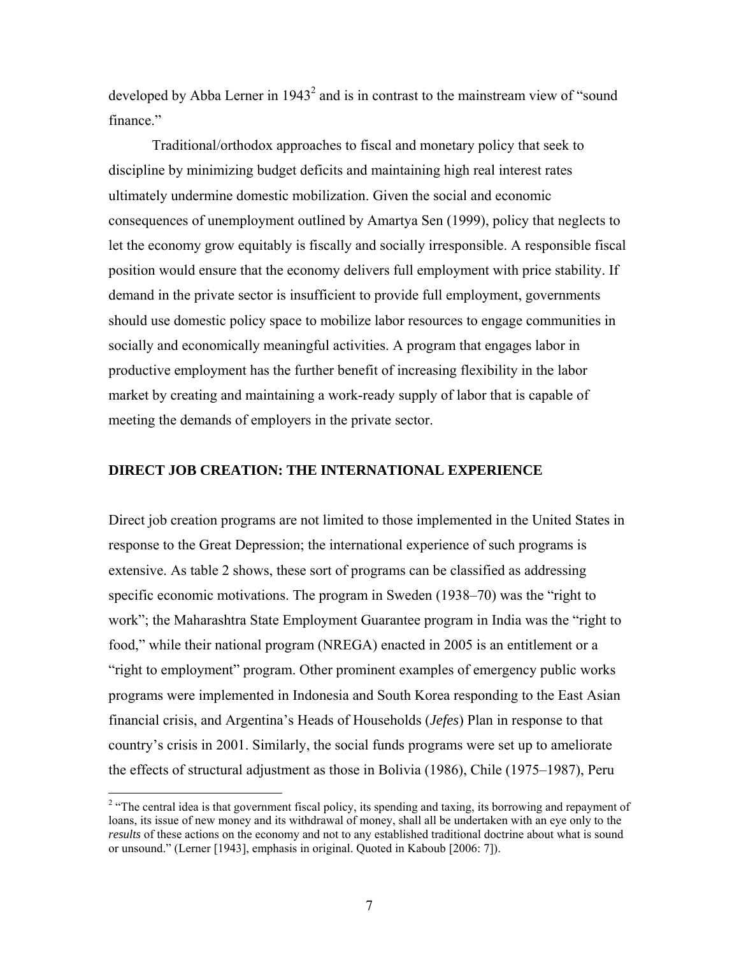developed by Abba Lerner in  $1943<sup>2</sup>$  and is in contrast to the mainstream view of "sound finance."

 Traditional/orthodox approaches to fiscal and monetary policy that seek to discipline by minimizing budget deficits and maintaining high real interest rates ultimately undermine domestic mobilization. Given the social and economic consequences of unemployment outlined by Amartya Sen (1999), policy that neglects to let the economy grow equitably is fiscally and socially irresponsible. A responsible fiscal position would ensure that the economy delivers full employment with price stability. If demand in the private sector is insufficient to provide full employment, governments should use domestic policy space to mobilize labor resources to engage communities in socially and economically meaningful activities. A program that engages labor in productive employment has the further benefit of increasing flexibility in the labor market by creating and maintaining a work-ready supply of labor that is capable of meeting the demands of employers in the private sector.

## **DIRECT JOB CREATION: THE INTERNATIONAL EXPERIENCE**

Direct job creation programs are not limited to those implemented in the United States in response to the Great Depression; the international experience of such programs is extensive. As table 2 shows, these sort of programs can be classified as addressing specific economic motivations. The program in Sweden (1938–70) was the "right to work"; the Maharashtra State Employment Guarantee program in India was the "right to food," while their national program (NREGA) enacted in 2005 is an entitlement or a "right to employment" program. Other prominent examples of emergency public works programs were implemented in Indonesia and South Korea responding to the East Asian financial crisis, and Argentina's Heads of Households (*Jefes*) Plan in response to that country's crisis in 2001. Similarly, the social funds programs were set up to ameliorate the effects of structural adjustment as those in Bolivia (1986), Chile (1975–1987), Peru

<sup>&</sup>lt;sup>2</sup> "The central idea is that government fiscal policy, its spending and taxing, its borrowing and repayment of loans, its issue of new money and its withdrawal of money, shall all be undertaken with an eye only to the *results* of these actions on the economy and not to any established traditional doctrine about what is sound or unsound." (Lerner [1943], emphasis in original. Quoted in Kaboub [2006: 7]).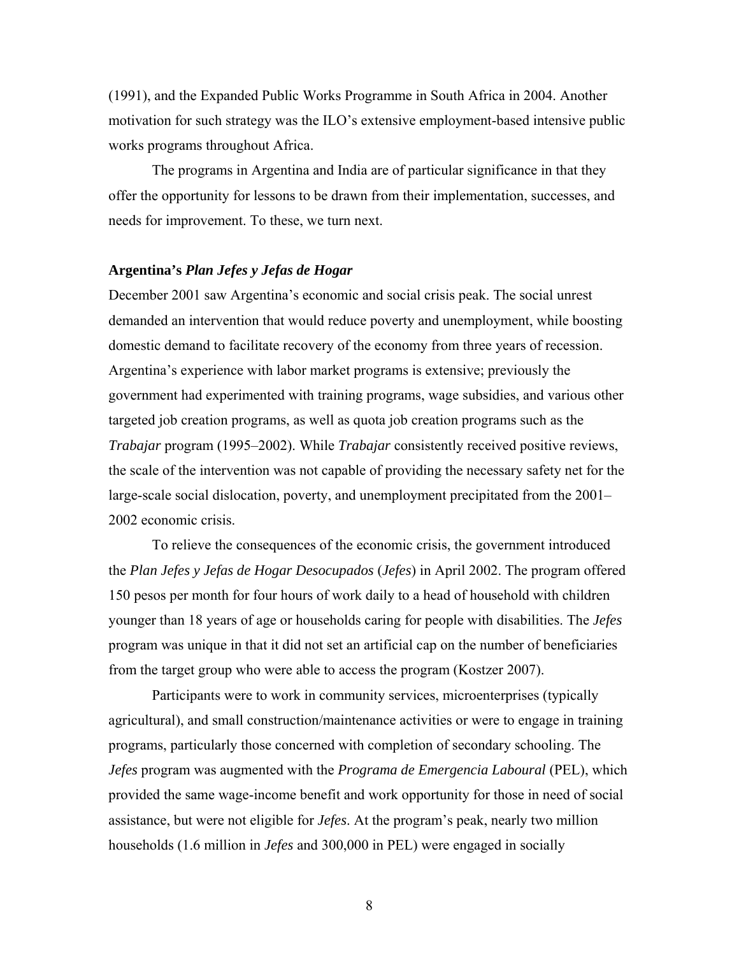(1991), and the Expanded Public Works Programme in South Africa in 2004. Another motivation for such strategy was the ILO's extensive employment-based intensive public works programs throughout Africa.

 The programs in Argentina and India are of particular significance in that they offer the opportunity for lessons to be drawn from their implementation, successes, and needs for improvement. To these, we turn next.

#### **Argentina's** *Plan Jefes y Jefas de Hogar*

December 2001 saw Argentina's economic and social crisis peak. The social unrest demanded an intervention that would reduce poverty and unemployment, while boosting domestic demand to facilitate recovery of the economy from three years of recession. Argentina's experience with labor market programs is extensive; previously the government had experimented with training programs, wage subsidies, and various other targeted job creation programs, as well as quota job creation programs such as the *Trabajar* program (1995–2002). While *Trabajar* consistently received positive reviews, the scale of the intervention was not capable of providing the necessary safety net for the large-scale social dislocation, poverty, and unemployment precipitated from the 2001– 2002 economic crisis.

 To relieve the consequences of the economic crisis, the government introduced the *Plan Jefes y Jefas de Hogar Desocupados* (*Jefes*) in April 2002. The program offered 150 pesos per month for four hours of work daily to a head of household with children younger than 18 years of age or households caring for people with disabilities. The *Jefes*  program was unique in that it did not set an artificial cap on the number of beneficiaries from the target group who were able to access the program (Kostzer 2007).

 Participants were to work in community services, microenterprises (typically agricultural), and small construction/maintenance activities or were to engage in training programs, particularly those concerned with completion of secondary schooling. The *Jefes* program was augmented with the *Programa de Emergencia Laboural* (PEL), which provided the same wage-income benefit and work opportunity for those in need of social assistance, but were not eligible for *Jefes*. At the program's peak, nearly two million households (1.6 million in *Jefes* and 300,000 in PEL) were engaged in socially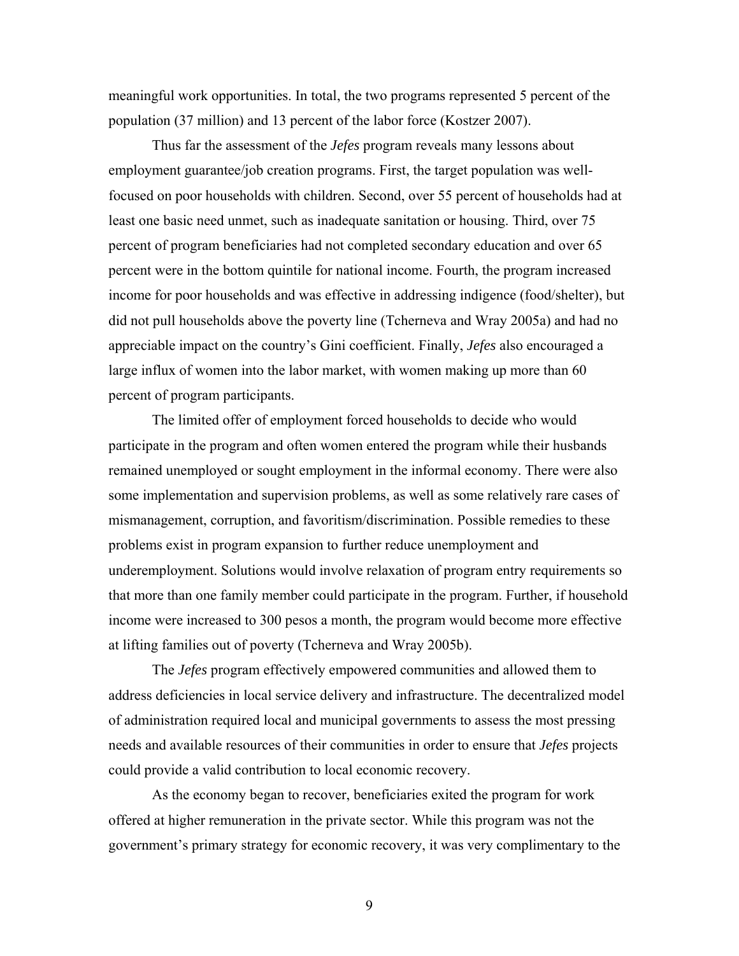meaningful work opportunities. In total, the two programs represented 5 percent of the population (37 million) and 13 percent of the labor force (Kostzer 2007).

 Thus far the assessment of the *Jefes* program reveals many lessons about employment guarantee/job creation programs. First, the target population was wellfocused on poor households with children. Second, over 55 percent of households had at least one basic need unmet, such as inadequate sanitation or housing. Third, over 75 percent of program beneficiaries had not completed secondary education and over 65 percent were in the bottom quintile for national income. Fourth, the program increased income for poor households and was effective in addressing indigence (food/shelter), but did not pull households above the poverty line (Tcherneva and Wray 2005a) and had no appreciable impact on the country's Gini coefficient. Finally, *Jefes* also encouraged a large influx of women into the labor market, with women making up more than 60 percent of program participants.

 The limited offer of employment forced households to decide who would participate in the program and often women entered the program while their husbands remained unemployed or sought employment in the informal economy. There were also some implementation and supervision problems, as well as some relatively rare cases of mismanagement, corruption, and favoritism/discrimination. Possible remedies to these problems exist in program expansion to further reduce unemployment and underemployment. Solutions would involve relaxation of program entry requirements so that more than one family member could participate in the program. Further, if household income were increased to 300 pesos a month, the program would become more effective at lifting families out of poverty (Tcherneva and Wray 2005b).

 The *Jefes* program effectively empowered communities and allowed them to address deficiencies in local service delivery and infrastructure. The decentralized model of administration required local and municipal governments to assess the most pressing needs and available resources of their communities in order to ensure that *Jefes* projects could provide a valid contribution to local economic recovery.

 As the economy began to recover, beneficiaries exited the program for work offered at higher remuneration in the private sector. While this program was not the government's primary strategy for economic recovery, it was very complimentary to the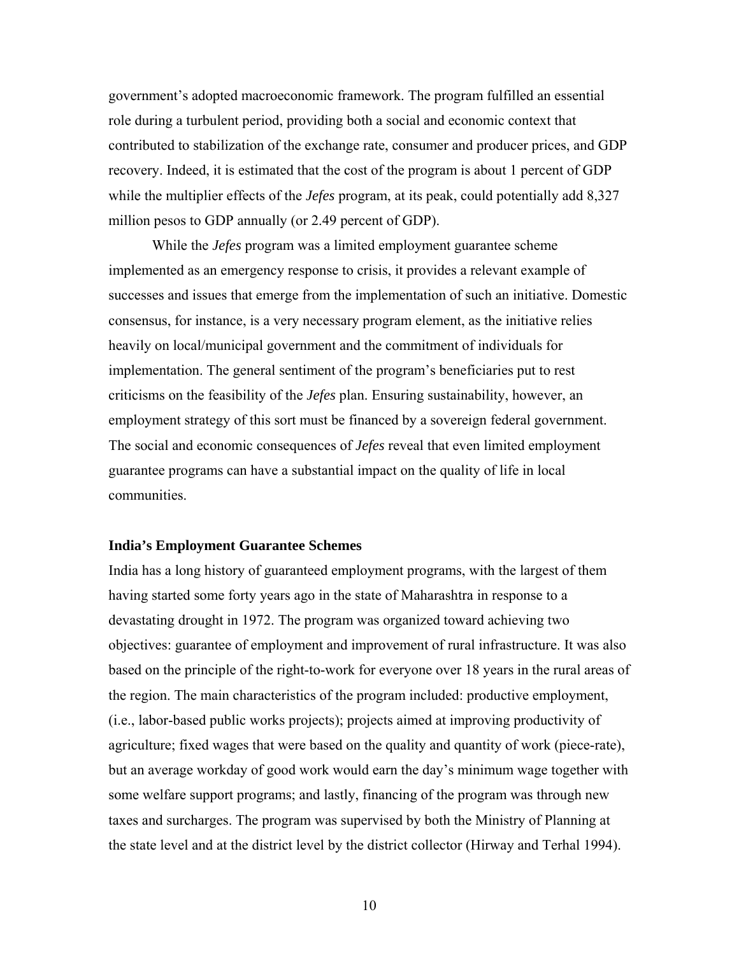government's adopted macroeconomic framework. The program fulfilled an essential role during a turbulent period, providing both a social and economic context that contributed to stabilization of the exchange rate, consumer and producer prices, and GDP recovery. Indeed, it is estimated that the cost of the program is about 1 percent of GDP while the multiplier effects of the *Jefes* program, at its peak, could potentially add 8,327 million pesos to GDP annually (or 2.49 percent of GDP).

 While the *Jefes* program was a limited employment guarantee scheme implemented as an emergency response to crisis, it provides a relevant example of successes and issues that emerge from the implementation of such an initiative. Domestic consensus, for instance, is a very necessary program element, as the initiative relies heavily on local/municipal government and the commitment of individuals for implementation. The general sentiment of the program's beneficiaries put to rest criticisms on the feasibility of the *Jefes* plan. Ensuring sustainability, however, an employment strategy of this sort must be financed by a sovereign federal government. The social and economic consequences of *Jefes* reveal that even limited employment guarantee programs can have a substantial impact on the quality of life in local communities.

## **India's Employment Guarantee Schemes**

India has a long history of guaranteed employment programs, with the largest of them having started some forty years ago in the state of Maharashtra in response to a devastating drought in 1972. The program was organized toward achieving two objectives: guarantee of employment and improvement of rural infrastructure. It was also based on the principle of the right-to-work for everyone over 18 years in the rural areas of the region. The main characteristics of the program included: productive employment, (i.e., labor-based public works projects); projects aimed at improving productivity of agriculture; fixed wages that were based on the quality and quantity of work (piece-rate), but an average workday of good work would earn the day's minimum wage together with some welfare support programs; and lastly, financing of the program was through new taxes and surcharges. The program was supervised by both the Ministry of Planning at the state level and at the district level by the district collector (Hirway and Terhal 1994).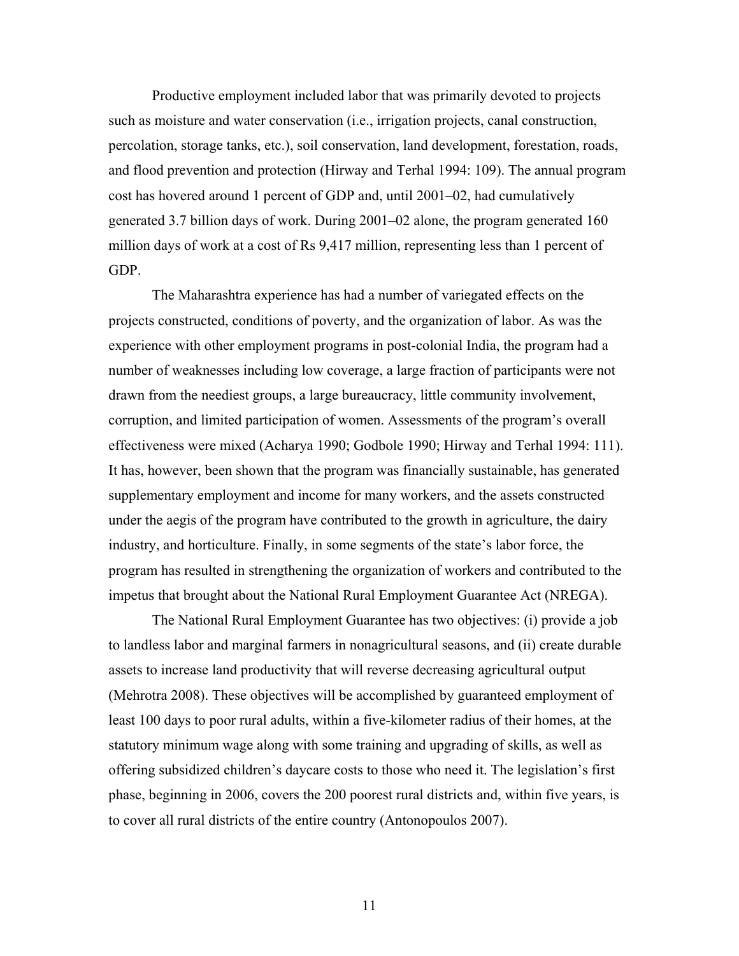Productive employment included labor that was primarily devoted to projects such as moisture and water conservation (i.e., irrigation projects, canal construction, percolation, storage tanks, etc.), soil conservation, land development, forestation, roads, and flood prevention and protection (Hirway and Terhal 1994: 109). The annual program cost has hovered around 1 percent of GDP and, until 2001–02, had cumulatively generated 3.7 billion days of work. During 2001–02 alone, the program generated 160 million days of work at a cost of Rs 9,417 million, representing less than 1 percent of GDP.

 The Maharashtra experience has had a number of variegated effects on the projects constructed, conditions of poverty, and the organization of labor. As was the experience with other employment programs in post-colonial India, the program had a number of weaknesses including low coverage, a large fraction of participants were not drawn from the neediest groups, a large bureaucracy, little community involvement, corruption, and limited participation of women. Assessments of the program's overall effectiveness were mixed (Acharya 1990; Godbole 1990; Hirway and Terhal 1994: 111). It has, however, been shown that the program was financially sustainable, has generated supplementary employment and income for many workers, and the assets constructed under the aegis of the program have contributed to the growth in agriculture, the dairy industry, and horticulture. Finally, in some segments of the state's labor force, the program has resulted in strengthening the organization of workers and contributed to the impetus that brought about the National Rural Employment Guarantee Act (NREGA).

 The National Rural Employment Guarantee has two objectives: (i) provide a job to landless labor and marginal farmers in nonagricultural seasons, and (ii) create durable assets to increase land productivity that will reverse decreasing agricultural output (Mehrotra 2008). These objectives will be accomplished by guaranteed employment of least 100 days to poor rural adults, within a five-kilometer radius of their homes, at the statutory minimum wage along with some training and upgrading of skills, as well as offering subsidized children's daycare costs to those who need it. The legislation's first phase, beginning in 2006, covers the 200 poorest rural districts and, within five years, is to cover all rural districts of the entire country (Antonopoulos 2007).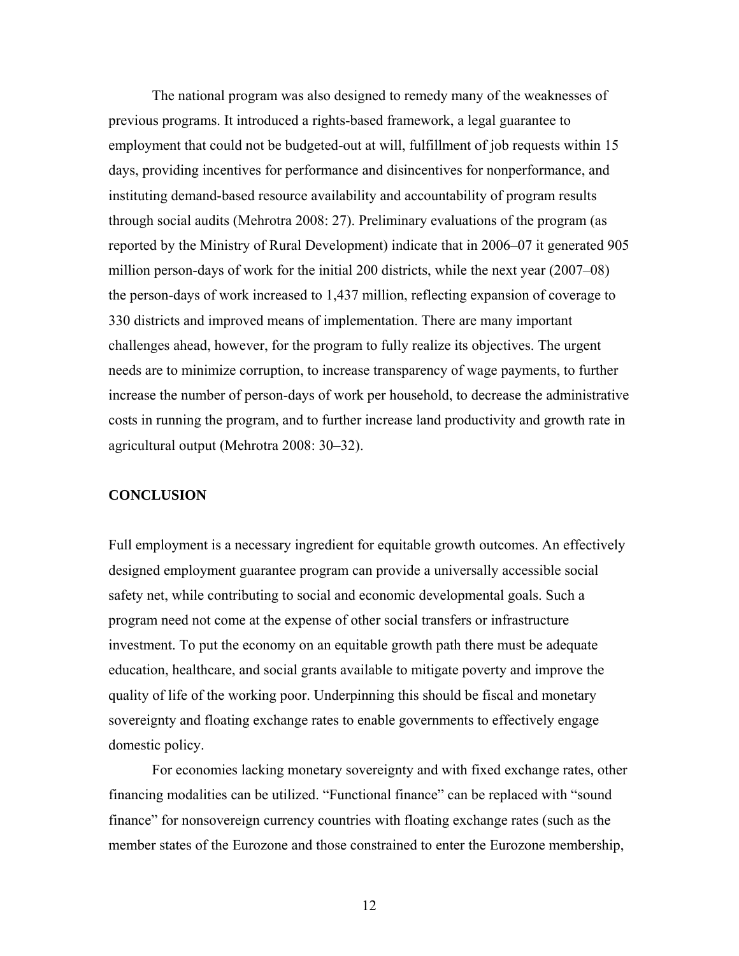The national program was also designed to remedy many of the weaknesses of previous programs. It introduced a rights-based framework, a legal guarantee to employment that could not be budgeted-out at will, fulfillment of job requests within 15 days, providing incentives for performance and disincentives for nonperformance, and instituting demand-based resource availability and accountability of program results through social audits (Mehrotra 2008: 27). Preliminary evaluations of the program (as reported by the Ministry of Rural Development) indicate that in 2006–07 it generated 905 million person-days of work for the initial 200 districts, while the next year (2007–08) the person-days of work increased to 1,437 million, reflecting expansion of coverage to 330 districts and improved means of implementation. There are many important challenges ahead, however, for the program to fully realize its objectives. The urgent needs are to minimize corruption, to increase transparency of wage payments, to further increase the number of person-days of work per household, to decrease the administrative costs in running the program, and to further increase land productivity and growth rate in agricultural output (Mehrotra 2008: 30–32).

## **CONCLUSION**

Full employment is a necessary ingredient for equitable growth outcomes. An effectively designed employment guarantee program can provide a universally accessible social safety net, while contributing to social and economic developmental goals. Such a program need not come at the expense of other social transfers or infrastructure investment. To put the economy on an equitable growth path there must be adequate education, healthcare, and social grants available to mitigate poverty and improve the quality of life of the working poor. Underpinning this should be fiscal and monetary sovereignty and floating exchange rates to enable governments to effectively engage domestic policy.

 For economies lacking monetary sovereignty and with fixed exchange rates, other financing modalities can be utilized. "Functional finance" can be replaced with "sound finance" for nonsovereign currency countries with floating exchange rates (such as the member states of the Eurozone and those constrained to enter the Eurozone membership,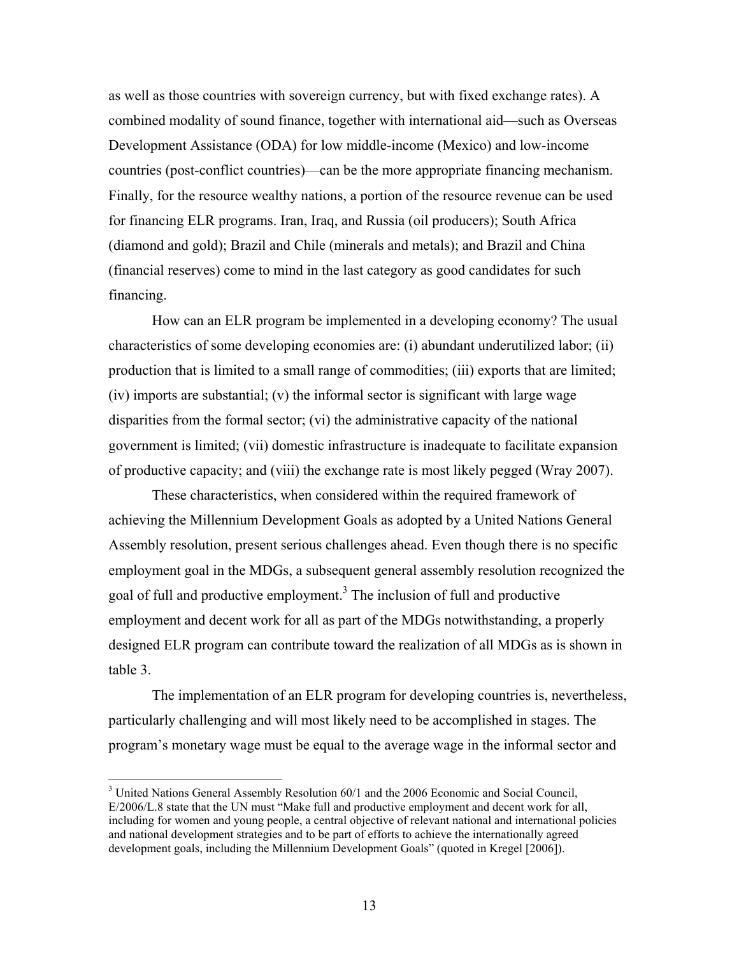as well as those countries with sovereign currency, but with fixed exchange rates). A combined modality of sound finance, together with international aid—such as Overseas Development Assistance (ODA) for low middle-income (Mexico) and low-income countries (post-conflict countries)—can be the more appropriate financing mechanism. Finally, for the resource wealthy nations, a portion of the resource revenue can be used for financing ELR programs. Iran, Iraq, and Russia (oil producers); South Africa (diamond and gold); Brazil and Chile (minerals and metals); and Brazil and China (financial reserves) come to mind in the last category as good candidates for such financing.

 How can an ELR program be implemented in a developing economy? The usual characteristics of some developing economies are: (i) abundant underutilized labor; (ii) production that is limited to a small range of commodities; (iii) exports that are limited; (iv) imports are substantial; (v) the informal sector is significant with large wage disparities from the formal sector; (vi) the administrative capacity of the national government is limited; (vii) domestic infrastructure is inadequate to facilitate expansion of productive capacity; and (viii) the exchange rate is most likely pegged (Wray 2007).

 These characteristics, when considered within the required framework of achieving the Millennium Development Goals as adopted by a United Nations General Assembly resolution, present serious challenges ahead. Even though there is no specific employment goal in the MDGs, a subsequent general assembly resolution recognized the goal of full and productive employment.<sup>3</sup> The inclusion of full and productive employment and decent work for all as part of the MDGs notwithstanding, a properly designed ELR program can contribute toward the realization of all MDGs as is shown in table 3.

 The implementation of an ELR program for developing countries is, nevertheless, particularly challenging and will most likely need to be accomplished in stages. The program's monetary wage must be equal to the average wage in the informal sector and

 $\overline{a}$ 

<sup>&</sup>lt;sup>3</sup> United Nations General Assembly Resolution 60/1 and the 2006 Economic and Social Council, E/2006/L.8 state that the UN must "Make full and productive employment and decent work for all, including for women and young people, a central objective of relevant national and international policies and national development strategies and to be part of efforts to achieve the internationally agreed development goals, including the Millennium Development Goals" (quoted in Kregel [2006]).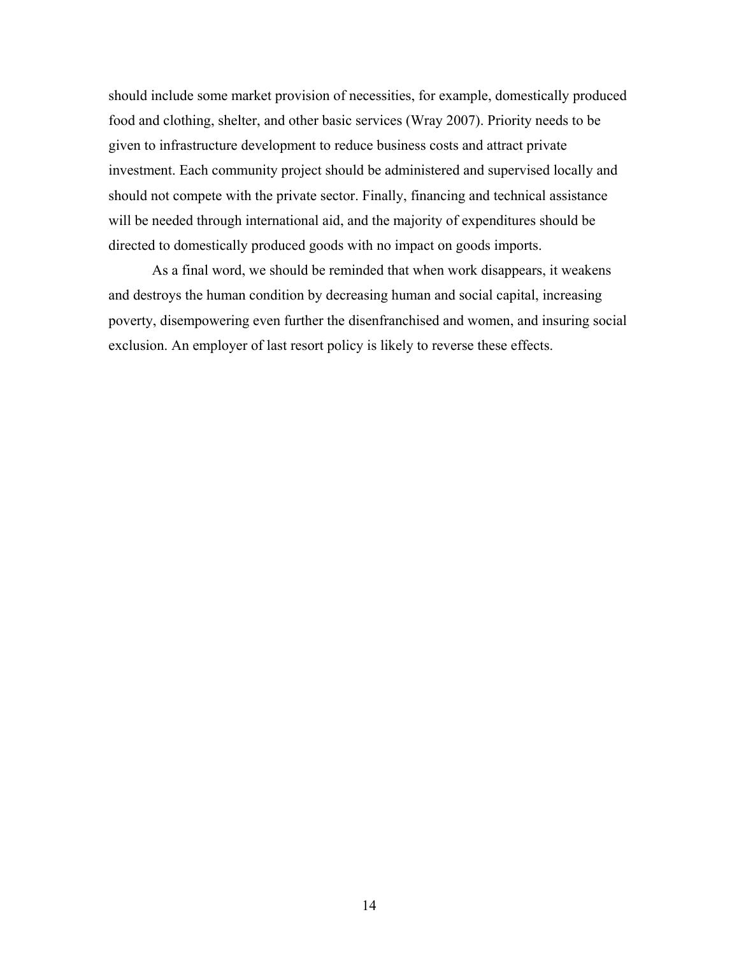should include some market provision of necessities, for example, domestically produced food and clothing, shelter, and other basic services (Wray 2007). Priority needs to be given to infrastructure development to reduce business costs and attract private investment. Each community project should be administered and supervised locally and should not compete with the private sector. Finally, financing and technical assistance will be needed through international aid, and the majority of expenditures should be directed to domestically produced goods with no impact on goods imports.

 As a final word, we should be reminded that when work disappears, it weakens and destroys the human condition by decreasing human and social capital, increasing poverty, disempowering even further the disenfranchised and women, and insuring social exclusion. An employer of last resort policy is likely to reverse these effects.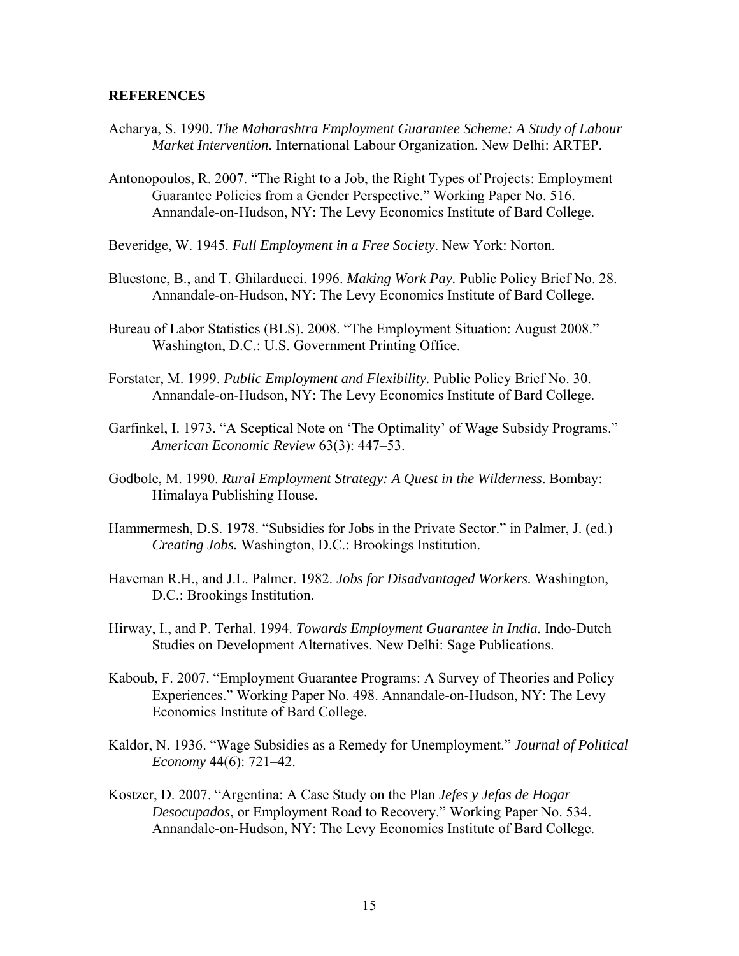## **REFERENCES**

- Acharya, S. 1990. *The Maharashtra Employment Guarantee Scheme: A Study of Labour Market Intervention*. International Labour Organization. New Delhi: ARTEP.
- Antonopoulos, R. 2007. "The Right to a Job, the Right Types of Projects: Employment Guarantee Policies from a Gender Perspective." Working Paper No. 516. Annandale-on-Hudson, NY: The Levy Economics Institute of Bard College.
- Beveridge, W. 1945. *Full Employment in a Free Society*. New York: Norton.
- Bluestone, B., and T. Ghilarducci. 1996. *Making Work Pay.* Public Policy Brief No. 28. Annandale-on-Hudson, NY: The Levy Economics Institute of Bard College.
- Bureau of Labor Statistics (BLS). 2008. "The Employment Situation: August 2008." Washington, D.C.: U.S. Government Printing Office.
- Forstater, M. 1999. *Public Employment and Flexibility.* Public Policy Brief No. 30. Annandale-on-Hudson, NY: The Levy Economics Institute of Bard College.
- Garfinkel, I. 1973. "A Sceptical Note on 'The Optimality' of Wage Subsidy Programs." *American Economic Review* 63(3): 447–53.
- Godbole, M. 1990. *Rural Employment Strategy: A Quest in the Wilderness*. Bombay: Himalaya Publishing House.
- Hammermesh, D.S. 1978. "Subsidies for Jobs in the Private Sector." in Palmer, J. (ed.) *Creating Jobs.* Washington, D.C.: Brookings Institution.
- Haveman R.H., and J.L. Palmer. 1982. *Jobs for Disadvantaged Workers.* Washington, D.C.: Brookings Institution.
- Hirway, I., and P. Terhal. 1994. *Towards Employment Guarantee in India.* Indo-Dutch Studies on Development Alternatives. New Delhi: Sage Publications.
- Kaboub, F. 2007. "Employment Guarantee Programs: A Survey of Theories and Policy Experiences." Working Paper No. 498. Annandale-on-Hudson, NY: The Levy Economics Institute of Bard College.
- Kaldor, N. 1936. "Wage Subsidies as a Remedy for Unemployment." *Journal of Political Economy* 44(6): 721–42.
- Kostzer, D. 2007. "Argentina: A Case Study on the Plan *Jefes y Jefas de Hogar Desocupados*, or Employment Road to Recovery." Working Paper No. 534. Annandale-on-Hudson, NY: The Levy Economics Institute of Bard College.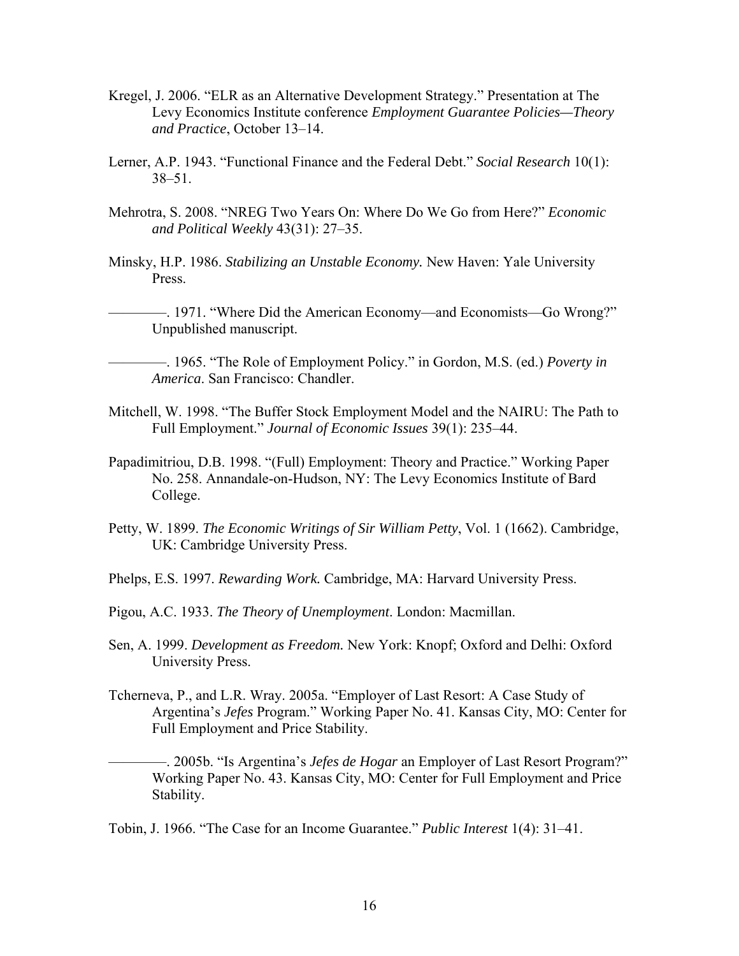- Kregel, J. 2006. "ELR as an Alternative Development Strategy." Presentation at The Levy Economics Institute conference *Employment Guarantee Policies—Theory and Practice*, October 13–14.
- Lerner, A.P. 1943. "Functional Finance and the Federal Debt." *Social Research* 10(1): 38–51.
- Mehrotra, S. 2008. "NREG Two Years On: Where Do We Go from Here?" *Economic and Political Weekly* 43(31): 27–35.
- Minsky, H.P. 1986. *Stabilizing an Unstable Economy.* New Haven: Yale University Press.

——. 1971. "Where Did the American Economy—and Economists—Go Wrong?" Unpublished manuscript.

————. 1965. "The Role of Employment Policy." in Gordon, M.S. (ed.) *Poverty in America*. San Francisco: Chandler.

- Mitchell, W. 1998. "The Buffer Stock Employment Model and the NAIRU: The Path to Full Employment." *Journal of Economic Issues* 39(1): 235–44.
- Papadimitriou, D.B. 1998. "(Full) Employment: Theory and Practice." Working Paper No. 258. Annandale-on-Hudson, NY: The Levy Economics Institute of Bard College.
- Petty, W. 1899. *The Economic Writings of Sir William Petty*, Vol. 1 (1662). Cambridge, UK: Cambridge University Press.
- Phelps, E.S. 1997. *Rewarding Work.* Cambridge, MA: Harvard University Press.
- Pigou, A.C. 1933. *The Theory of Unemployment*. London: Macmillan.
- Sen, A. 1999. *Development as Freedom.* New York: Knopf; Oxford and Delhi: Oxford University Press.
- Tcherneva, P., and L.R. Wray. 2005a. "Employer of Last Resort: A Case Study of Argentina's *Jefes* Program." Working Paper No. 41. Kansas City, MO: Center for Full Employment and Price Stability.

————. 2005b. "Is Argentina's *Jefes de Hogar* an Employer of Last Resort Program?" Working Paper No. 43. Kansas City, MO: Center for Full Employment and Price Stability.

Tobin, J. 1966. "The Case for an Income Guarantee." *Public Interest* 1(4): 31–41.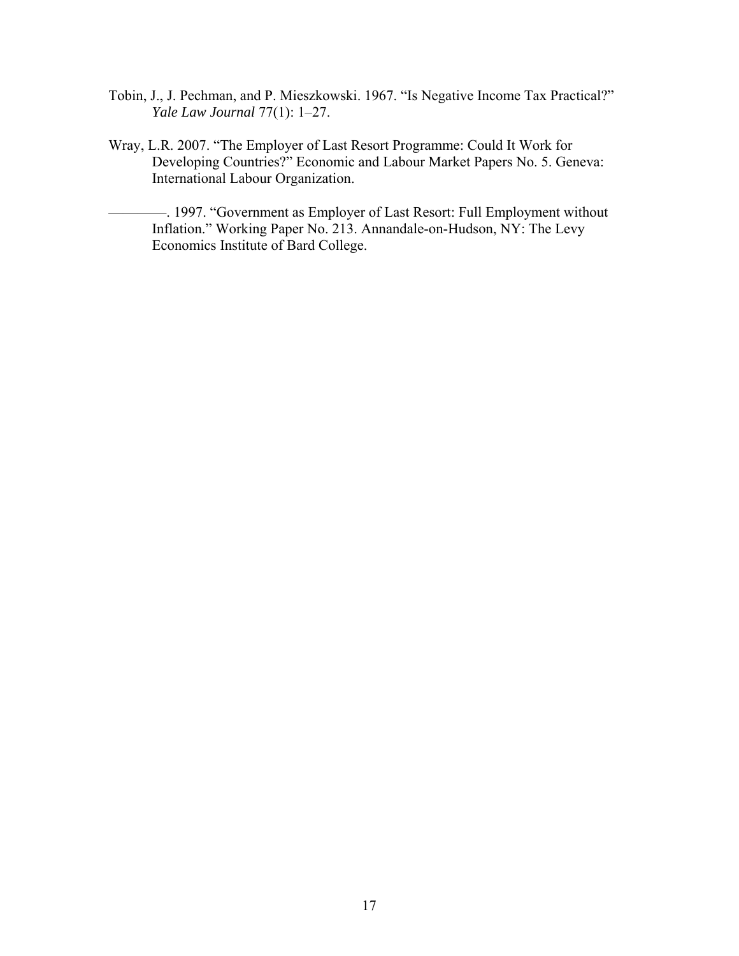- Tobin, J., J. Pechman, and P. Mieszkowski. 1967. "Is Negative Income Tax Practical?" *Yale Law Journal* 77(1): 1–27.
- Wray, L.R. 2007. "The Employer of Last Resort Programme: Could It Work for Developing Countries?" Economic and Labour Market Papers No. 5. Geneva: International Labour Organization.

————. 1997. "Government as Employer of Last Resort: Full Employment without Inflation." Working Paper No. 213. Annandale-on-Hudson, NY: The Levy Economics Institute of Bard College.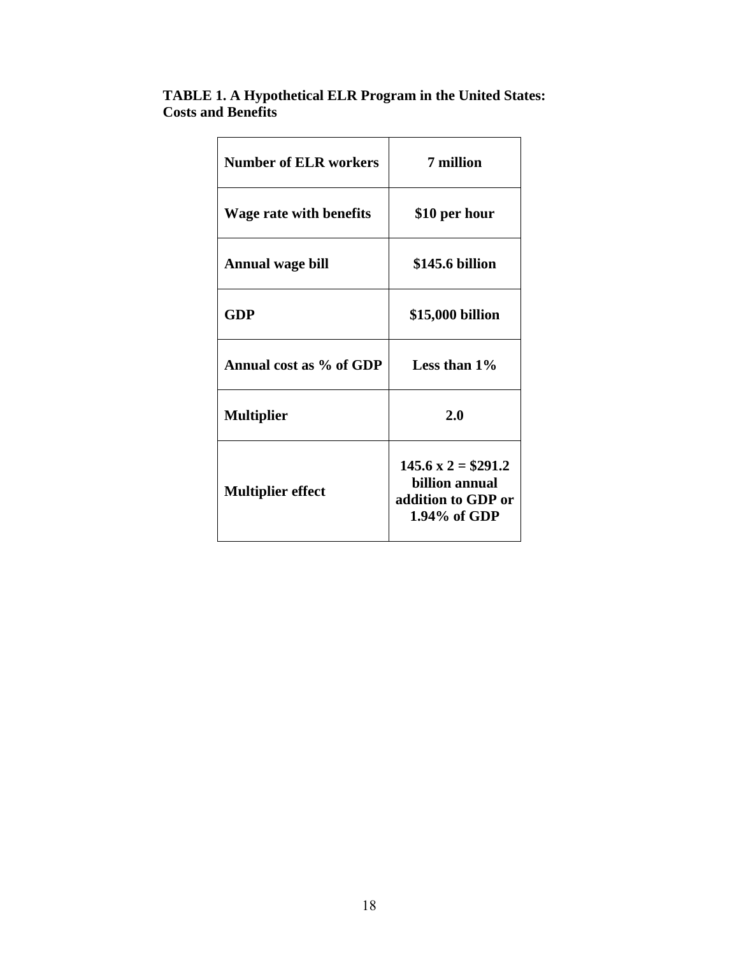| <b>TABLE 1. A Hypothetical ELR Program in the United States:</b> |  |
|------------------------------------------------------------------|--|
| <b>Costs and Benefits</b>                                        |  |

| <b>Number of ELR workers</b> | 7 million                                                                                |
|------------------------------|------------------------------------------------------------------------------------------|
| Wage rate with benefits      | \$10 per hour                                                                            |
| <b>Annual wage bill</b>      | \$145.6 billion                                                                          |
| GDP                          | \$15,000 billion                                                                         |
| Annual cost as % of GDP      | Less than $1\%$                                                                          |
| <b>Multiplier</b>            | 2.0                                                                                      |
| <b>Multiplier effect</b>     | $145.6 \text{ x } 2 = $291.2$<br>billion annual<br>addition to GDP or<br>$1.94\%$ of GDP |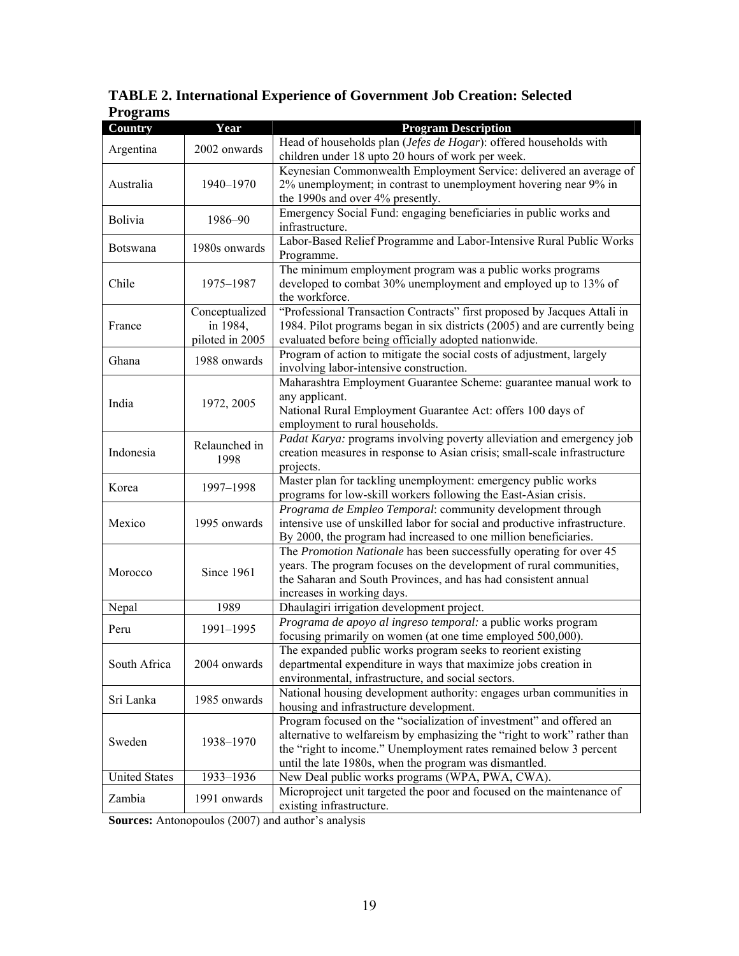| 1 годышэ             |                 |                                                                            |
|----------------------|-----------------|----------------------------------------------------------------------------|
| <b>Country</b>       | Year            | <b>Program Description</b>                                                 |
|                      | 2002 onwards    | Head of households plan (Jefes de Hogar): offered households with          |
| Argentina            |                 | children under 18 upto 20 hours of work per week.                          |
|                      |                 | Keynesian Commonwealth Employment Service: delivered an average of         |
| Australia            | 1940-1970       | 2% unemployment; in contrast to unemployment hovering near 9% in           |
|                      |                 | the 1990s and over 4% presently.                                           |
|                      |                 | Emergency Social Fund: engaging beneficiaries in public works and          |
| <b>Bolivia</b>       | 1986–90         | infrastructure.                                                            |
|                      |                 | Labor-Based Relief Programme and Labor-Intensive Rural Public Works        |
| Botswana             | 1980s onwards   | Programme.                                                                 |
|                      |                 |                                                                            |
|                      |                 | The minimum employment program was a public works programs                 |
| Chile                | 1975-1987       | developed to combat 30% unemployment and employed up to 13% of             |
|                      |                 | the workforce.                                                             |
|                      | Conceptualized  | "Professional Transaction Contracts" first proposed by Jacques Attali in   |
| France               | in 1984,        | 1984. Pilot programs began in six districts (2005) and are currently being |
|                      | piloted in 2005 | evaluated before being officially adopted nationwide.                      |
| Ghana                | 1988 onwards    | Program of action to mitigate the social costs of adjustment, largely      |
|                      |                 | involving labor-intensive construction.                                    |
|                      |                 | Maharashtra Employment Guarantee Scheme: guarantee manual work to          |
|                      |                 | any applicant.                                                             |
| India                | 1972, 2005      | National Rural Employment Guarantee Act: offers 100 days of                |
|                      |                 | employment to rural households.                                            |
|                      |                 | Padat Karya: programs involving poverty alleviation and emergency job      |
| Indonesia            | Relaunched in   | creation measures in response to Asian crisis; small-scale infrastructure  |
|                      | 1998            |                                                                            |
|                      |                 | projects.                                                                  |
| Korea                | 1997-1998       | Master plan for tackling unemployment: emergency public works              |
|                      |                 | programs for low-skill workers following the East-Asian crisis.            |
|                      |                 | Programa de Empleo Temporal: community development through                 |
| Mexico               | 1995 onwards    | intensive use of unskilled labor for social and productive infrastructure. |
|                      |                 | By 2000, the program had increased to one million beneficiaries.           |
|                      | Since 1961      | The Promotion Nationale has been successfully operating for over 45        |
| Morocco              |                 | years. The program focuses on the development of rural communities,        |
|                      |                 | the Saharan and South Provinces, and has had consistent annual             |
|                      |                 | increases in working days.                                                 |
| Nepal                | 1989            | Dhaulagiri irrigation development project.                                 |
|                      |                 | Programa de apoyo al ingreso temporal: a public works program              |
| Peru                 | 1991-1995       | focusing primarily on women (at one time employed 500,000).                |
|                      |                 | The expanded public works program seeks to reorient existing               |
| South Africa         | 2004 onwards    | departmental expenditure in ways that maximize jobs creation in            |
|                      |                 | environmental, infrastructure, and social sectors.                         |
|                      |                 | National housing development authority: engages urban communities in       |
| Sri Lanka            | 1985 onwards    |                                                                            |
|                      |                 | housing and infrastructure development.                                    |
| Sweden               | 1938-1970       | Program focused on the "socialization of investment" and offered an        |
|                      |                 | alternative to welfareism by emphasizing the "right to work" rather than   |
|                      |                 | the "right to income." Unemployment rates remained below 3 percent         |
|                      |                 | until the late 1980s, when the program was dismantled.                     |
| <b>United States</b> | 1933-1936       | New Deal public works programs (WPA, PWA, CWA).                            |
|                      |                 | Microproject unit targeted the poor and focused on the maintenance of      |
| Zambia               | 1991 onwards    | existing infrastructure.                                                   |

# **TABLE 2. International Experience of Government Job Creation: Selected Programs**

**Sources:** Antonopoulos (2007) and author's analysis